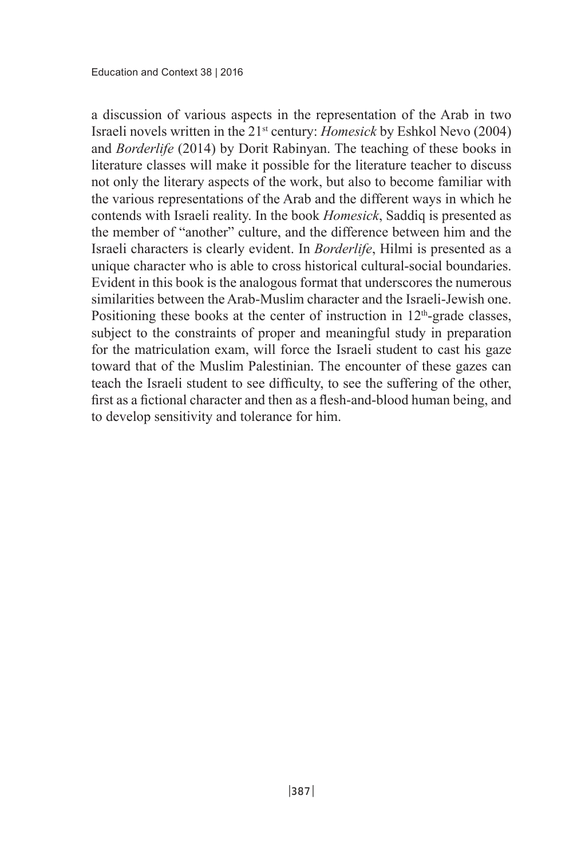a discussion of various aspects in the representation of the Arab in two Israeli novels written in the  $21<sup>st</sup>$  century: *Homesick* by Eshkol Nevo (2004) and *Borderlife* (2014) by Dorit Rabinyan. The teaching of these books in literature classes will make it possible for the literature teacher to discuss not only the literary aspects of the work, but also to become familiar with the various representations of the Arab and the different ways in which he contends with Israeli reality. In the book *Homesick*, Saddiq is presented as the member of "another" culture, and the difference between him and the Israeli characters is clearly evident. In *Borderlife*, Hilmi is presented as a unique character who is able to cross historical cultural-social boundaries. Evident in this book is the analogous format that underscores the numerous similarities between the Arab-Muslim character and the Israeli-Jewish one Positioning these books at the center of instruction in  $12<sup>th</sup>$ -grade classes, subject to the constraints of proper and meaningful study in preparation for the matriculation exam, will force the Israeli student to cast his gaze toward that of the Muslim Palestinian. The encounter of these gazes can teach the Israeli student to see difficulty, to see the suffering of the other, first as a fictional character and then as a flesh-and-blood human being, and to develop sensitivity and tolerance for him.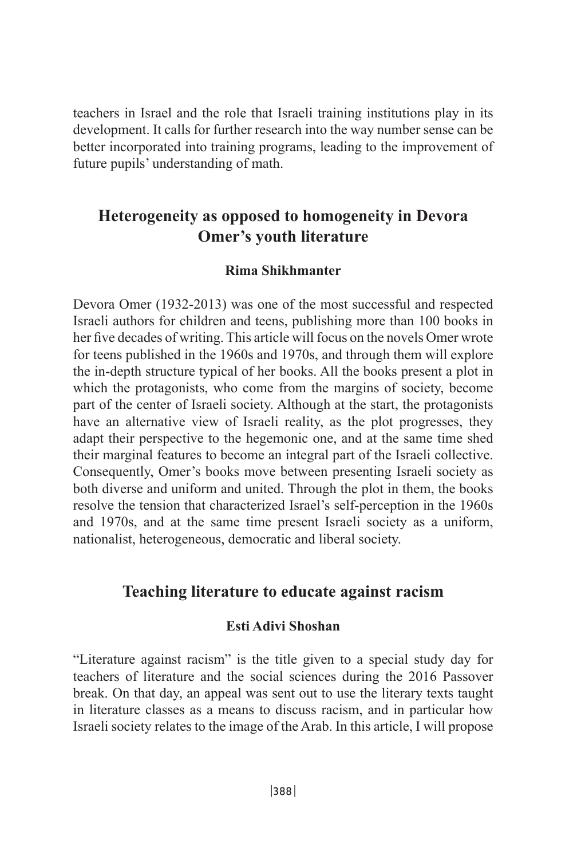teachers in Israel and the role that Israeli training institutions play in its development. It calls for further research into the way number sense can be. better incorporated into training programs, leading to the improvement of future pupils' understanding of math.

# **Heterogeneity as opposed to homogeneity in Devora Omer's youth literature**

## **Shikhmanter Rima**

Devora Omer (1932-2013) was one of the most successful and respected Israeli authors for children and teens, publishing more than 100 books in her five decades of writing. This article will focus on the novels Omer wrote for teens published in the 1960s and 1970s, and through them will explore the in-depth structure typical of her books. All the books present a plot in which the protagonists, who come from the margins of society, become part of the center of Israeli society. Although at the start, the protagonists have an alternative view of Israeli reality, as the plot progresses, they adapt their perspective to the hegemonic one, and at the same time shed their marginal features to become an integral part of the Israeli collective. Consequently, Omer's books move between presenting Israeli society as both diverse and uniform and united. Through the plot in them, the books resolve the tension that characterized Israel's self-perception in the 1960s and 1970s, and at the same time present Israeli society as a uniform, nationalist, heterogeneous, democratic and liberal society.

## Teaching literature to educate against racism

#### **Esti Adivi Shoshan**

"Literature against racism" is the title given to a special study day for teachers of literature and the social sciences during the 2016 Passover break. On that day, an appeal was sent out to use the literary texts taught in literature classes as a means to discuss racism, and in particular how I straeli society relates to the image of the Arab. In this article, I will propose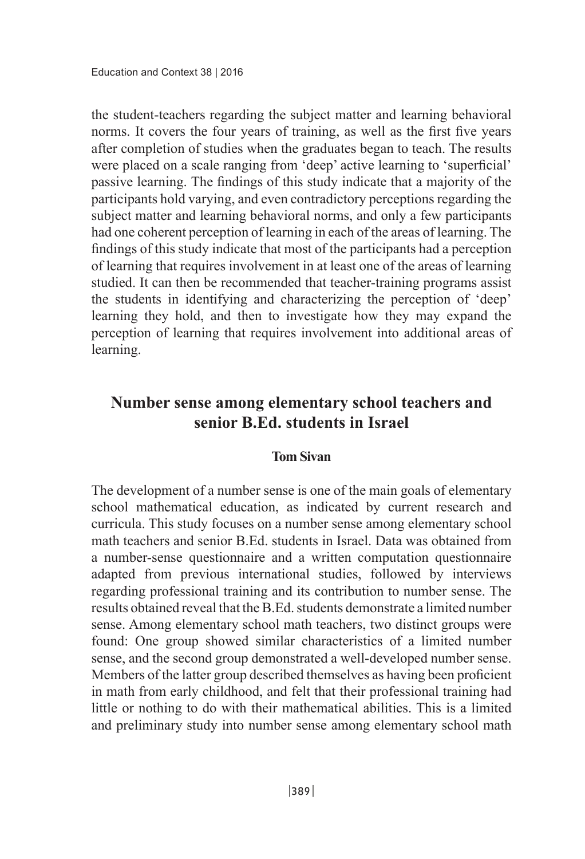the student-teachers regarding the subject matter and learning behavioral norms. It covers the four years of training, as well as the first five years after completion of studies when the graduates began to teach. The results were placed on a scale ranging from 'deep' active learning to 'superficial' passive learning. The findings of this study indicate that a majority of the participants hold varying, and even contradictory perceptions regarding the subject matter and learning behavioral norms, and only a few participants had one coherent perception of learning in each of the areas of learning. The findings of this study indicate that most of the participants had a perception of learning that requires involvement in at least one of the areas of learning studied. It can then be recommended that teacher-training programs assist the students in identifying and characterizing the perception of 'deep' the expand they hold, and then to investigate how they may expand the perception of learning that requires involvement into additional areas of learning.

# **Number sense among elementary school teachers and ISENET SET IS SENIOR SENIOR SENIOR SENIOR SERVICE SENIOR SENIOR SENIOR SERVICE SERVICE SERVICE SERVICE SERVICE SERVICE SERVICE SERVICE SERVICE SERVICE SERVICE SERVICE SERVICE SERVICE SERVICE SERVICE SERVICE SERVICE SERVIC**

## **Tom Sivan**

The development of a number sense is one of the main goals of elementary school mathematical education, as indicated by current research and curricula. This study focuses on a number sense among elementary school math teachers and senior B.Ed. students in Israel. Data was obtained from a number-sense questionnaire and a written computation questionnaire adapted from previous international studies, followed by interviews regarding professional training and its contribution to number sense. The results obtained reveal that the B.Ed. students demonstrate a limited number sense. Among elementary school math teachers, two distinct groups were found: One group showed similar characteristics of a limited number sense, and the second group demonstrated a well-developed number sense. Members of the latter group described themselves as having been proficient in math from early childhood, and felt that their professional training had little or nothing to do with their mathematical abilities. This is a limited and preliminary study into number sense among elementary school math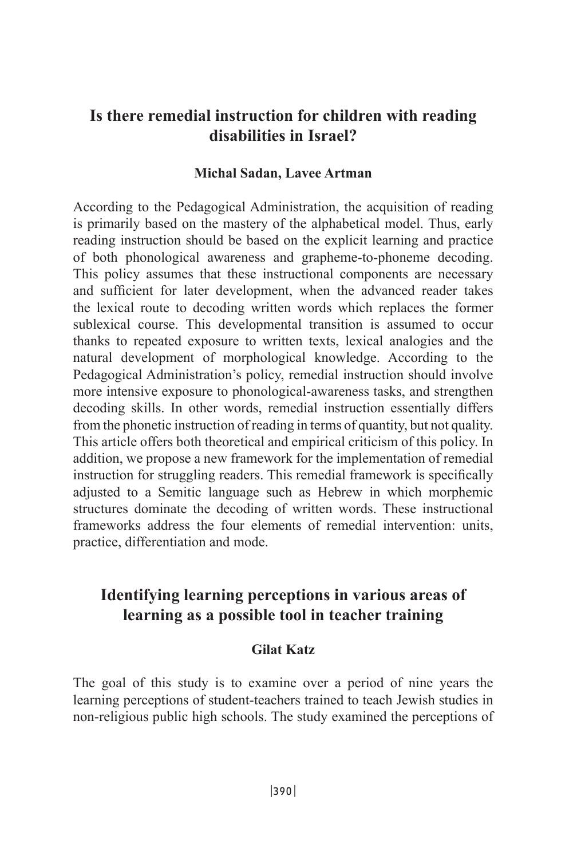# Is there remedial instruction for children with reading disabilities in **Israel?**

## **Michal Sadan, Lavee Artman**

According to the Pedagogical Administration, the acquisition of reading is primarily based on the mastery of the alphabetical model. Thus, early reading instruction should be based on the explicit learning and practice of both phonological awareness and grapheme-to-phoneme decoding. This policy assumes that these instructional components are necessary and sufficient for later development, when the advanced reader takes the lexical route to decoding written words which replaces the former sublexical course. This developmental transition is assumed to occur thanks to repeated exposure to written texts, lexical analogies and the natural development of morphological knowledge. According to the Pedagogical Administration's policy, remedial instruction should involve more intensive exposure to phonological-awareness tasks, and strengthen decoding skills. In other words, remedial instruction essentially differs from the phonetic instruction of reading in terms of quantity, but not quality. This article offers both theoretical and empirical criticism of this policy. In addition, we propose a new framework for the implementation of remedial instruction for struggling readers. This remedial framework is specifically adjusted to a Semitic language such as Hebrew in which morphemic structures dominate the decoding of written words. These instructional frameworks address the four elements of remedial intervention: units. practice, differentiation and mode.

# **Identifying learning perceptions in various areas of the learning as a possible tool in teacher training**

## **Gilat** Katz

The goal of this study is to examine over a period of nine years the learning perceptions of student-teachers trained to teach Jewish studies in non-religious public high schools. The study examined the perceptions of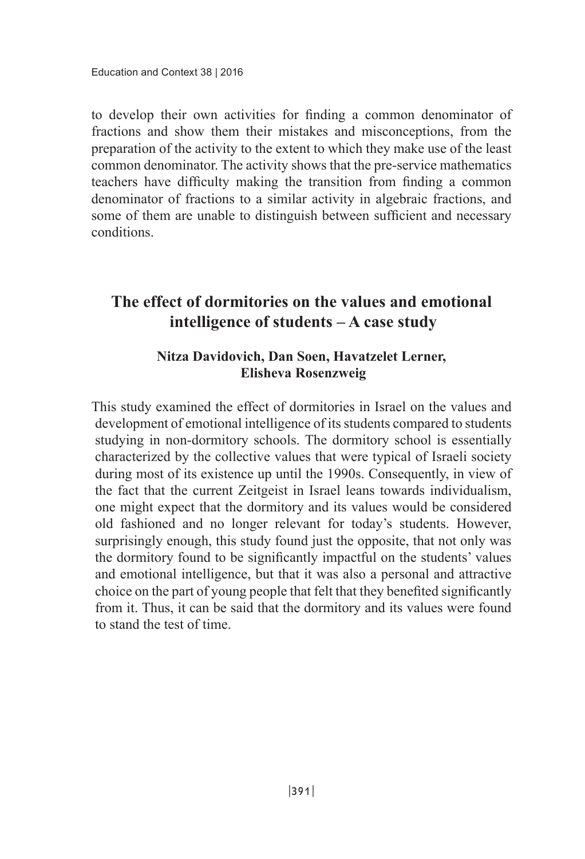to develop their own activities for finding a common denominator of fractions and show them their mistakes and misconceptions, from the preparation of the activity to the extent to which they make use of the least common denominator. The activity shows that the pre-service mathematics teachers have difficulty making the transition from finding a common denominator of fractions to a similar activity in algebraic fractions, and some of them are unable to distinguish between sufficient and necessary .conditions

# **The effect of dormitories on the values and emotional intelligence** of students – A case study

## Nitza Davidovich, Dan Soen, Havatzelet Lerner, **Rosenzweig Elisheva**

This study examined the effect of dormitories in Israel on the values and development of emotional intelligence of its students compared to students studying in non-dormitory schools. The dormitory school is essentially characterized by the collective values that were typical of Israeli society during most of its existence up until the 1990s. Consequently, in view of the fact that the current Zeitgeist in Israel leans towards individualism, one might expect that the dormitory and its values would be considered old fashioned and no longer relevant for today's students. However, surprisingly enough, this study found just the opposite, that not only was the dormitory found to be significantly impactful on the students' values and emotional intelligence, but that it was also a personal and attractive choice on the part of young people that felt that they benefited significantly from it. Thus, it can be said that the dormitory and its values were found to stand the test of time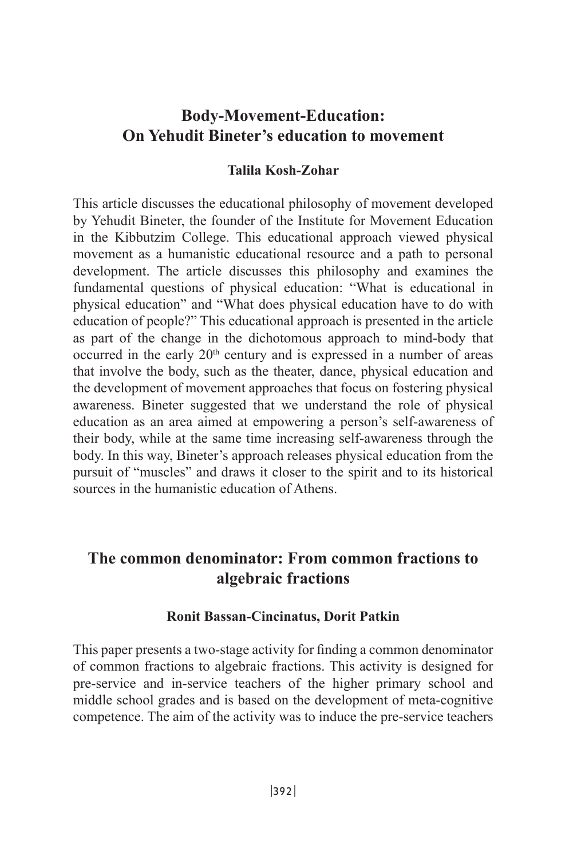# **Body-Movement-Education: On Yehudit Bineter's education to movement**

## **Zohar-Kosh Talila**

This article discusses the educational philosophy of movement developed by Yehudit Bineter, the founder of the Institute for Movement Education in the Kibbutzim College. This educational approach viewed physical movement as a humanistic educational resource and a path to personal development. The article discusses this philosophy and examines the fundamental questions of physical education: "What is educational in physical education" and "What does physical education have to do with education of people?" This educational approach is presented in the article as part of the change in the dichotomous approach to mind-body that occurred in the early 20<sup>th</sup> century and is expressed in a number of areas that involve the body, such as the theater, dance, physical education and the development of movement approaches that focus on fostering physical awareness. Bineter suggested that we understand the role of physical education as an area aimed at empowering a person's self-awareness of their body, while at the same time increasing self-awareness through the body. In this way, Bineter's approach releases physical education from the pursuit of "muscles" and draws it closer to the spirit and to its historical sources in the humanistic education of Athens

# **The common denominator: From common fractions to fractions algebraic**

#### **Ronit Bassan-Cincinatus, Dorit Patkin**

This paper presents a two-stage activity for finding a common denominator of common fractions to algebraic fractions. This activity is designed for pre-service and in-service teachers of the higher primary school and middle school grades and is based on the development of meta-cognitive competence. The aim of the activity was to induce the pre-service teachers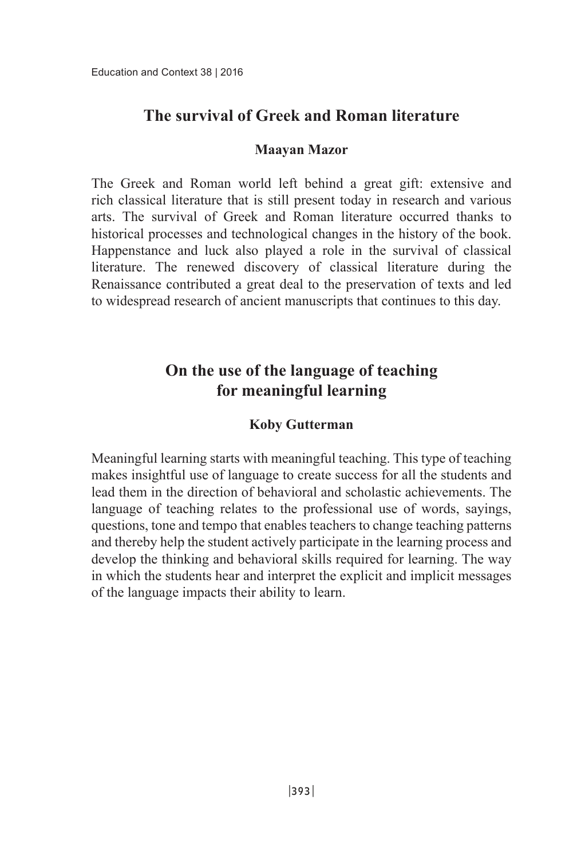# **The survival of Greek and Roman literature**

## **Maayan** Mazor

The Greek and Roman world left behind a great gift: extensive and rich classical literature that is still present today in research and various arts. The survival of Greek and Roman literature occurred thanks to historical processes and technological changes in the history of the book. Happenstance and luck also played a role in the survival of classical literature. The renewed discovery of classical literature during the Renaissance contributed a great deal to the preservation of texts and led to widespread research of ancient manuscripts that continues to this day.

# **On the use of the language of teaching** *learning* meaning in the learning

## **Gutterman Koby**

Meaningful learning starts with meaningful teaching. This type of teaching makes insightful use of language to create success for all the students and lead them in the direction of behavioral and scholastic achievements. The language of teaching relates to the professional use of words, sayings, questions, tone and tempo that enables teachers to change teaching patterns and thereby help the student actively participate in the learning process and develop the thinking and behavioral skills required for learning. The way in which the students hear and interpret the explicit and implicit messages of the language impacts their ability to learn.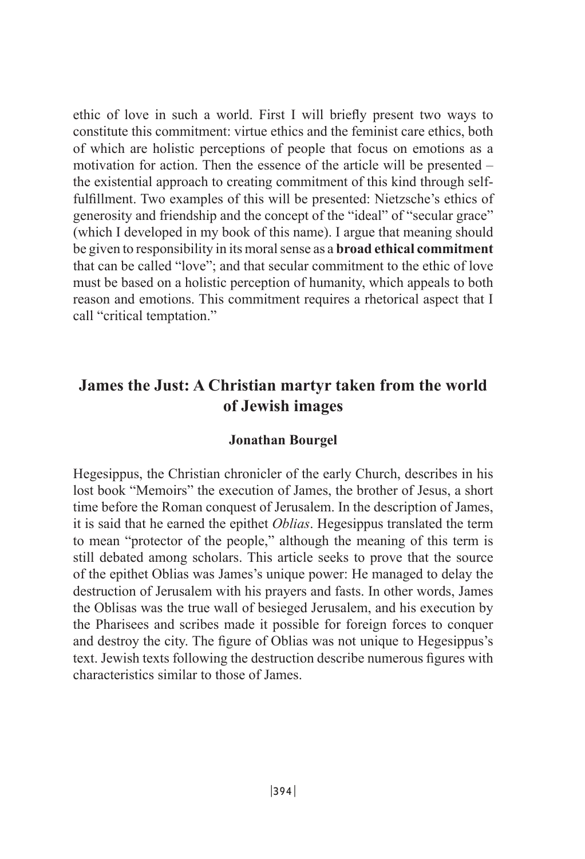ethic of love in such a world. First I will briefly present two ways to constitute this commitment: virtue ethics and the feminist care ethics, both of which are holistic perceptions of people that focus on emotions as a motivation for action. Then the essence of the article will be presented  $$ fulfillment. Two examples of this will be presented: Nietzsche's ethics of the existential approach to creating commitment of this kind through selfgenerosity and friendship and the concept of the "ideal" of "secular grace" (which I developed in my book of this name). I argue that meaning should be given to responsibility in its moral sense as a **broad ethical commitment** that can be called "love"; and that secular commitment to the ethic of love must be based on a holistic perception of humanity, which appeals to both reason and emotions. This commitment requires a rhetorical aspect that I call "critical temptation."

# **James the Just: A Christian martyr taken from the world** of Jewish images

#### **Jonathan Bourgel**

Hegesippus, the Christian chronicler of the early Church, describes in his lost book "Memoirs" the execution of James, the brother of Jesus, a short time before the Roman conquest of Jerusalem. In the description of James, it is said that he earned the epithet *Oblias*. Hegesippus translated the term to mean "protector of the people," although the meaning of this term is still debated among scholars. This article seeks to prove that the source of the epithet Oblias was James's unique power: He managed to delay the destruction of Jerusalem with his prayers and fasts. In other words, James the Oblisas was the true wall of besieged Jerusalem, and his execution by the Pharisees and scribes made it possible for foreign forces to conquer and destroy the city. The figure of Oblias was not unique to Hegesippus's text. Jewish texts following the destruction describe numerous figures with characteristics similar to those of James.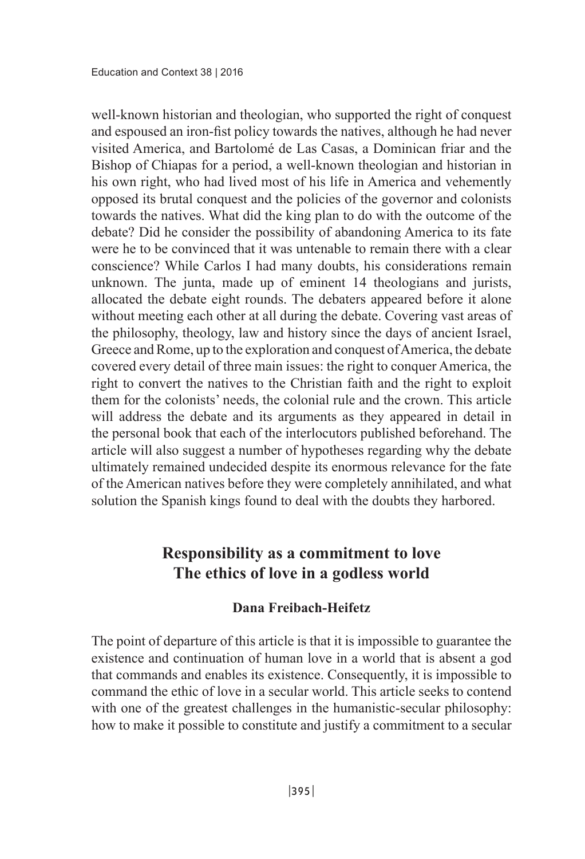well-known historian and theologian, who supported the right of conquest and espoused an iron-fist policy towards the natives, although he had never visited America, and Bartolomé de Las Casas, a Dominican friar and the Bishop of Chiapas for a period, a well-known theologian and historian in his own right, who had lived most of his life in America and vehemently opposed its brutal conquest and the policies of the governor and colonists towards the natives. What did the king plan to do with the outcome of the debate? Did he consider the possibility of abandoning America to its fate were he to be convinced that it was untenable to remain there with a clear conscience? While Carlos I had many doubts, his considerations remain unknown. The junta, made up of eminent 14 theologians and jurists, allocated the debate eight rounds. The debaters appeared before it alone without meeting each other at all during the debate. Covering vast areas of the philosophy, theology, law and history since the days of ancient Israel, Greece and Rome, up to the exploration and conquest of America, the debate the covered every detail of three main issues: the right to conquer America, the right to convert the natives to the Christian faith and the right to exploit them for the colonists' needs, the colonial rule and the crown. This article will address the debate and its arguments as they appeared in detail in the personal book that each of the interlocutors published beforehand. The article will also suggest a number of hypotheses regarding why the debate ultimately remained undecided despite its enormous relevance for the fate of the American natives before they were completely annihilated, and what solution the Spanish kings found to deal with the doubts they harbored.

# **Responsibility** as a commitment to love The ethics of love in a godless world

#### **Dana Freibach-Heifetz**

The point of departure of this article is that it is impossible to guarantee the existence and continuation of human love in a world that is absent a god that commands and enables its existence. Consequently, it is impossible to command the ethic of love in a secular world. This article seeks to contend with one of the greatest challenges in the humanistic-secular philosophy: how to make it possible to constitute and justify a commitment to a secular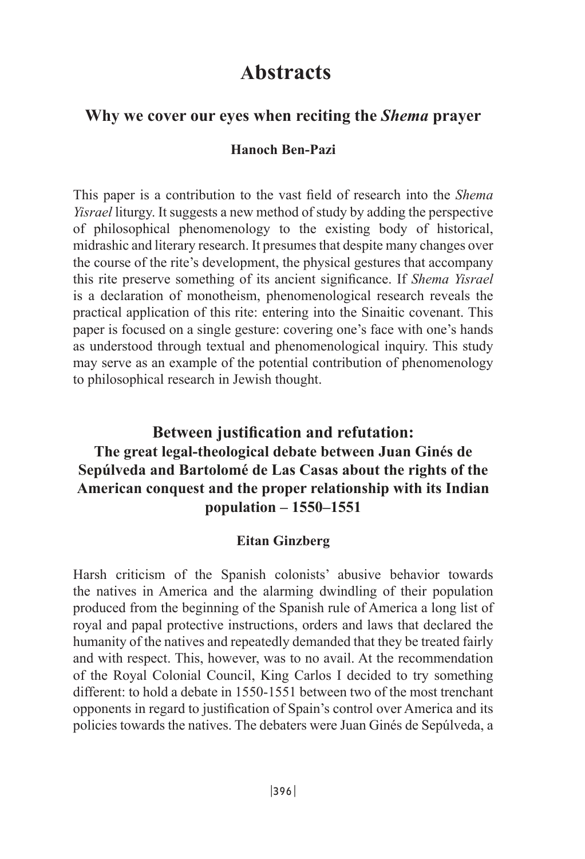# **Abstracts**

## **Why** we cover our eyes when reciting the *Shema* prayer

## **Hanoch Ren-Pazi**

This paper is a contribution to the vast field of research into the *Shema Yisrael* liturgy. It suggests a new method of study by adding the perspective of philosophical phenomenology to the existing body of historical. midrashic and literary research. It presumes that despite many changes over the course of the rite's development, the physical gestures that accompany this rite preserve something of its ancient significance. If *Shema Yisrael* is a declaration of monotheism, phenomenological research reveals the practical application of this rite: entering into the Sinaitic covenant. This paper is focused on a single gesture: covering one's face with one's hands as understood through textual and phenomenological inquiry. This study may serve as an example of the potential contribution of phenomenology to philosophical research in Jewish thought.

# **Between justification and refutation:** The great legal-theological debate between Juan Ginés de **Sepúlveda and Bartolomé de Las Casas about the rights of the American conquest and the proper relationship with its Indian 1550–1551**

#### **Ginzberg Eitan**

Harsh criticism of the Spanish colonists' abusive behavior towards the natives in America and the alarming dwindling of their population produced from the beginning of the Spanish rule of America a long list of royal and papal protective instructions, orders and laws that declared the humanity of the natives and repeatedly demanded that they be treated fairly and with respect. This, however, was to no avail. At the recommendation of the Royal Colonial Council, King Carlos I decided to try something different: to hold a debate in  $1550-1551$  between two of the most trenchant opponents in regard to justification of Spain's control over America and its policies towards the natives. The debaters were Juan Ginés de Sepúlveda, a